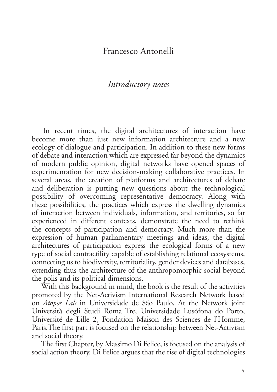## Francesco Antonelli

## *Introductory notes*

In recent times, the digital architectures of interaction have become more than just new information architecture and a new ecology of dialogue and participation. In addition to these new forms of debate and interaction which are expressed far beyond the dynamics of modern public opinion, digital networks have opened spaces of experimentation for new decision-making collaborative practices. In several areas, the creation of platforms and architectures of debate and deliberation is putting new questions about the technological possibility of overcoming representative democracy. Along with these possibilities, the practices which express the dwelling dynamics of interaction between individuals, information, and territories, so far experienced in different contexts, demonstrate the need to rethink the concepts of participation and democracy. Much more than the expression of human parliamentary meetings and ideas, the digital architectures of participation express the ecological forms of a new type of social contractility capable of establishing relational ecosystems, connecting us to biodiversity, territoriality, gender devices and databases, extending thus the architecture of the anthropomorphic social beyond the polis and its political dimensions.

With this background in mind, the book is the result of the activities promoted by the Net-Activism International Research Network based on *Atopos Lab* in Universidade de São Paulo. At the Network join: Università degli Studi Roma Tre, Universidade Lusófona do Porto, Université de Lille 2, Fondation Maison des Sciences de l'Homme, Paris.The first part is focused on the relationship between Net-Activism and social theory.

The first Chapter, by Massimo Di Felice, is focused on the analysis of social action theory. Di Felice argues that the rise of digital technologies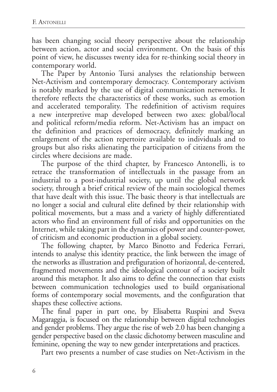has been changing social theory perspective about the relationship between action, actor and social environment. On the basis of this point of view, he discusses twenty idea for re-thinking social theory in contemporary world.

The Paper by Antonio Tursi analyses the relationship between Net-Activism and contemporary democracy. Contemporary activism is notably marked by the use of digital communication networks. It therefore reflects the characteristics of these works, such as emotion and accelerated temporality. The redefinition of activism requires a new interpretive map developed between two axes: global/local and political reform/media reform. Net-Activism has an impact on the definition and practices of democracy, definitely marking an enlargement of the action repertoire available to individuals and to groups but also risks alienating the participation of citizens from the circles where decisions are made.

The purpose of the third chapter, by Francesco Antonelli, is to retrace the transformation of intellectuals in the passage from an industrial to a post-industrial society, up until the global network society, through a brief critical review of the main sociological themes that have dealt with this issue. The basic theory is that intellectuals are no longer a social and cultural elite defined by their relationship with political movements, but a mass and a variety of highly differentiated actors who find an environment full of risks and opportunities on the Internet, while taking part in the dynamics of power and counter-power, of criticism and economic production in a global society.

The following chapter, by Marco Binotto and Federica Ferrari, intends to analyse this identity practice, the link between the image of the networks as illustration and prefiguration of horizontal, de-centered, fragmented movements and the ideological contour of a society built around this metaphor. It also aims to define the connection that exists between communication technologies used to build organisational forms of contemporary social movements, and the configuration that shapes these collective actions.

The final paper in part one, by Elisabetta Ruspini and Sveva Magaraggia, is focused on the relationship between digital technologies and gender problems. They argue the rise of web 2.0 has been changing a gender perspective based on the classic dichotomy between masculine and feminine, opening the way to new gender interpretations and practices.

Part two presents a number of case studies on Net-Activism in the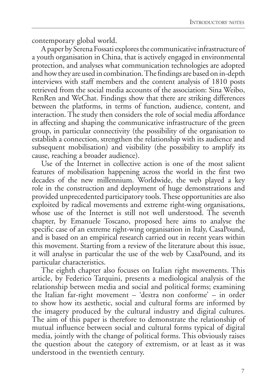contemporary global world.

A paper by Serena Fossati explores the communicative infrastructure of a youth organisation in China, that is actively engaged in environmental protection, and analyses what communication technologies are adopted and how they are used in combination. The findings are based on in-depth interviews with staff members and the content analysis of 1810 posts retrieved from the social media accounts of the association: Sina Weibo, RenRen and WeChat. Findings show that there are striking differences between the platforms, in terms of function, audience, content, and interaction. The study then considers the role of social media affordance in affecting and shaping the communicative infrastructure of the green group, in particular connectivity (the possibility of the organisation to establish a connection, strengthen the relationship with its audience and subsequent mobilisation) and visibility (the possibility to amplify its cause, reaching a broader audience).

Use of the Internet in collective action is one of the most salient features of mobilisation happening across the world in the first two decades of the new millennium. Worldwide, the web played a key role in the construction and deployment of huge demonstrations and provided unprecedented participatory tools. These opportunities are also exploited by radical movements and extreme right-wing organisations, whose use of the Internet is still not well understood. The seventh chapter, by Emanuele Toscano, proposed here aims to analyse the specific case of an extreme right-wing organisation in Italy, CasaPound, and is based on an empirical research carried out in recent years within this movement. Starting from a review of the literature about this issue, it will analyse in particular the use of the web by CasaPound, and its particular characteristics.

The eighth chapter also focuses on Italian right movements. This article, by Federico Tarquini, presents a mediological analysis of the relationship between media and social and political forms; examining the Italian far-right movement – 'destra non conforme' – in order to show how its aesthetic, social and cultural forms are informed by the imagery produced by the cultural industry and digital cultures. The aim of this paper is therefore to demonstrate the relationship of mutual influence between social and cultural forms typical of digital media, jointly with the change of political forms. This obviously raises the question about the category of extremism, or at least as it was understood in the twentieth century.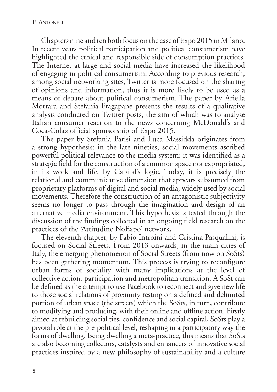Chapters nine and ten both focus on the case of Expo 2015 in Milano. In recent years political participation and political consumerism have highlighted the ethical and responsible side of consumption practices. The Internet at large and social media have increased the likelihood of engaging in political consumerism. According to previous research, among social networking sites, Twitter is more focused on the sharing of opinions and information, thus it is more likely to be used as a means of debate about political consumerism. The paper by Ariella Mortara and Stefania Fragapane presents the results of a qualitative analysis conducted on Twitter posts, the aim of which was to analyse Italian consumer reaction to the news concerning McDonald's and Coca-Cola's official sponsorship of Expo 2015.

The paper by Stefania Parisi and Luca Massidda originates from a strong hypothesis: in the late nineties, social movements ascribed powerful political relevance to the media system: it was identified as a strategic field for the construction of a common space not expropriated, in its work and life, by Capital's logic. Today, it is precisely the relational and communicative dimension that appears subsumed from proprietary platforms of digital and social media, widely used by social movements. Therefore the construction of an antagonistic subjectivity seems no longer to pass through the imagination and design of an alternative media environment. This hypothesis is tested through the discussion of the findings collected in an ongoing field research on the practices of the 'Attitudine NoExpo' network.

The eleventh chapter, by Fabio Introini and Cristina Pasqualini, is focused on Social Streets. From 2013 onwards, in the main cities of Italy, the emerging phenomenon of Social Streets (from now on SoSts) has been gathering momentum. This process is trying to reconfigure urban forms of sociality with many implications at the level of collective action, participation and metropolitan transition. A SoSt can be defined as the attempt to use Facebook to reconnect and give new life to those social relations of proximity resting on a defined and delimited portion of urban space (the streets) which the SoSts, in turn, contribute to modifying and producing, with their online and offline action. Firstly aimed at rebuilding social ties, confidence and social capital, SoSts play a pivotal role at the pre-political level, reshaping in a participatory way the forms of dwelling. Being dwelling a meta-practice, this means that SoSts are also becoming collectors, catalysts and enhancers of innovative social practices inspired by a new philosophy of sustainability and a culture